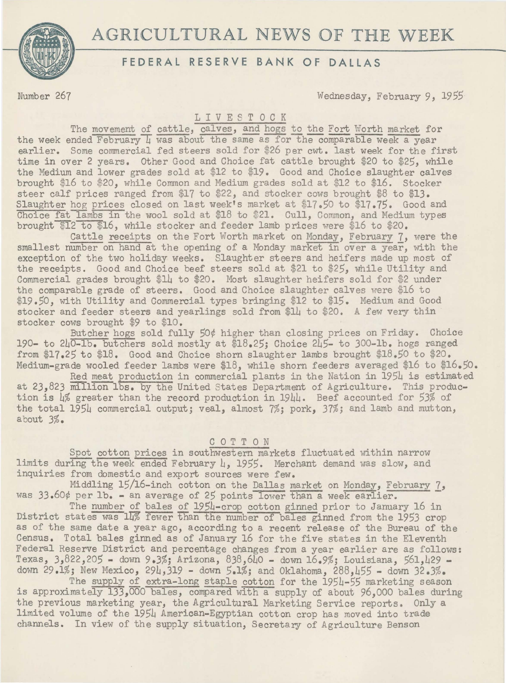# AGRICULTURAL NEWS OF THE WEEK



## **FEDERAL RESERVE BANK OF DALLAS**

Number 267 Wednesday, February 9, *1955* 

### LIVESTOCK

The movement of cattle, calves, and hogs to the Fort Worth market for the week ended February  $\mu$  was about the same as for the comparable week a year earlier. Some commercial fed steers sold for \$26 per cwt. last week for the first time in over 2 years. Other Good and Choice fat cattle brought \$20 to *\$25,* while the Medium and lower grades sold at \$12 to \$19. Good and Choice slaughter calves brought \$16 to \$20, while Common and Medium grades sold at \$12 to \$16. Stocker steer calf prices ranged from \$17 to \$22, and stocker cows brought \$8 to \$13. Slaughter hog prices closed on last week's market at \$17.50 to \$17.75. Good and Choice fat lambs in the wool sold at \$18 to \$21. Cull, Common, and Medium types brought  $$12$  to  $$16$ , while stocker and feeder lamb prices were \$16 to \$20.

Cattle receipts on the Fort Worth market on Monday, February 7, were the smallest number on hand at the opening of a Monday market in over a year, with the exception of the two holiday weeks. Slaughter steers and heifers made up most of the receipts. Good and Choice beef steers sold at \$21 to *\$25,* while Utility and Commercial grades brought \$14 to \$20. Most slaughter heifers sold for \$2 under the comparable grade of steers. Good and Choice slaughter calves were \$16 to \$19.50, with Utility and Commercial types bringing \$12 to \$15. Medium and Good stocker and feeder steers and yearlings sold from \$14 to \$20. A few very thin stocker cows brought \$9 to \$10.

Butcher hogs sold fully *50¢* higher than closing prices on Friday. Choice 190- to 240-lb. butchers sold mostly at \$18.25; Choice 245- to 300-lb. hogs ranged from \$17.25 to \$18, Good and Choice shorn slaughter lambs brought \$18.50 to \$20. Medium-grade wooled feeder lambs were \$18, while shorn feeders averaged \$16 to \$16.50.

Red meat production in commercial plants in the Nation in 1954 is estimated at 23,823 million lbs. by the United States Department of Agriculture. This production is 4% greater than the record production in 1944. Beef accounted for *53%* of the total 1954 commercial output; veal, almost 7%; pork, 37%; and lamb and mutton, about 3%.

#### COTTON

Spot cotton prices in southwestern markets fluctuated within narrow limits during the week ended February L, *1955.* Merchant demand was slow, and inquiries from domestic and export sources were few.

Middling 15/16-inch cotton on the Dallas market on Monday, February 7, was 33.60¢ per lb. - an average of 25 points lower than a week earlier.

The number of bales of 1954-crop cotton ginned prior to January 16 in District states was 14% fewer than the number of bales ginned from the 1953 crop as of the same date a year ago, according to a recent release of the Bureau of the Census. Total bales ginned as of January 16 for the five states in the Eleventh Federal Reserve District and percentage changes from a year earlier are as follows: Texas, 3,822,205 - down 9.3%; Arizona, 838,640 - down 16.9%; Louisiana, 561,429 down 29.1%; New Mexico, 294,319 - down 5.1%; and Oklahoma, 288,455 - down 32.3%.

The supply of extra-long staple cotton for the 1954-55 marketing season is approximately 133,000 bales, compared with a supply of about 96,000 bales during the previous marketing year, the Agricultural Marketing Service reports. Only a limited volume of the 1954 American-Egyptian cotton crop has moved into trade channels. In view of the supply situation, Secretary of Agriculture Benson